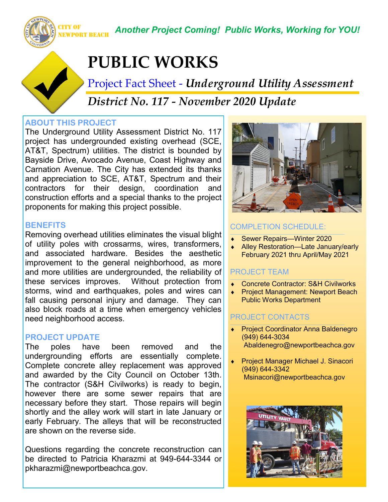NEWPORT BEACH *Another Project Coming! Public Works, Working for YOU!*

# **PUBLIC WORKS**

Project Fact Sheet - *Underground Utility Assessment District No. 117 - November 2020 Update*

### **ABOUT THIS PROJECT**

CITY OF

The Underground Utility Assessment District No. 117 project has undergrounded existing overhead (SCE, AT&T, Spectrum) utilities. The district is bounded by Bayside Drive, Avocado Avenue, Coast Highway and Carnation Avenue. The City has extended its thanks and appreciation to SCE, AT&T, Spectrum and their contractors for their design, coordination and construction efforts and a special thanks to the project proponents for making this project possible.

### **BENEFITS**

Removing overhead utilities eliminates the visual blight of utility poles with crossarms, wires, transformers, and associated hardware. Besides the aesthetic improvement to the general neighborhood, as more and more utilities are undergrounded, the reliability of these services improves. Without protection from storms, wind and earthquakes, poles and wires can fall causing personal injury and damage. They can also block roads at a time when emergency vehicles need neighborhood access.

#### **PROJECT UPDATE**

The poles have been removed and the undergrounding efforts are essentially complete. Complete concrete alley replacement was approved and awarded by the City Council on October 13th. The contractor (S&H Civilworks) is ready to begin, however there are some sewer repairs that are necessary before they start. Those repairs will begin shortly and the alley work will start in late January or early February. The alleys that will be reconstructed are shown on the reverse side.

Questions regarding the concrete reconstruction can be directed to Patricia Kharazmi at 949-644-3344 or pkharazmi@newportbeachca.gov.



### COMPLETION SCHEDULE:

- Sewer Repairs—Winter 2020
- Alley Restoration—Late January/early February 2021 thru April/May 2021

# PROJECT TEAM

- Concrete Contractor: S&H Civilworks
- Project Management: Newport Beach Public Works Department

# PROJECT CONTACTS

- **•** Project Coordinator Anna Baldenegro (949) 644-3034 Abaldenegro@newportbeachca.gov
- Project Manager Michael J. Sinacori (949) 644-3342 Msinacori@newportbeachca.gov